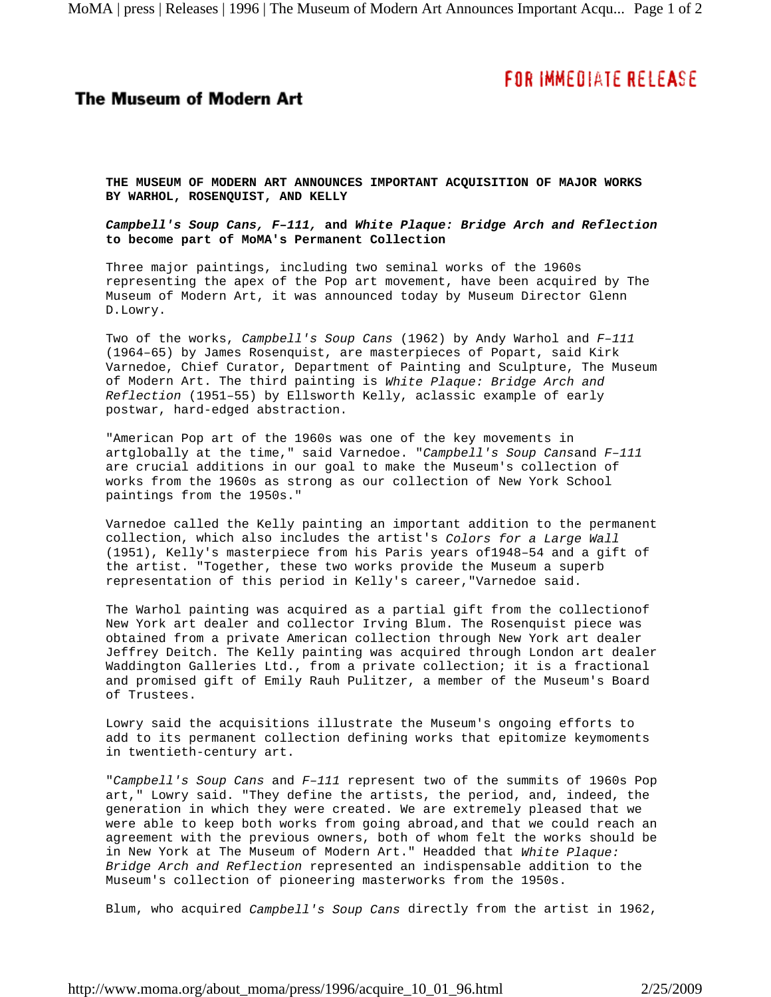## FOR IMMEDIATE RELEASE

## **The Museum of Modern Art**

**THE MUSEUM OF MODERN ART ANNOUNCES IMPORTANT ACQUISITION OF MAJOR WORKS BY WARHOL, ROSENQUIST, AND KELLY**

*Campbell's Soup Cans, F–111,* **and** *White Plaque: Bridge Arch and Reflection* **to become part of MoMA's Permanent Collection**

Three major paintings, including two seminal works of the 1960s representing the apex of the Pop art movement, have been acquired by The Museum of Modern Art, it was announced today by Museum Director Glenn D.Lowry.

Two of the works, *Campbell's Soup Cans* (1962) by Andy Warhol and *F–111* (1964–65) by James Rosenquist, are masterpieces of Popart, said Kirk Varnedoe, Chief Curator, Department of Painting and Sculpture, The Museum of Modern Art. The third painting is *White Plaque: Bridge Arch and Reflection* (1951–55) by Ellsworth Kelly, aclassic example of early postwar, hard-edged abstraction.

"American Pop art of the 1960s was one of the key movements in artglobally at the time," said Varnedoe. "*Campbell's Soup Cans*and *F–111* are crucial additions in our goal to make the Museum's collection of works from the 1960s as strong as our collection of New York School paintings from the 1950s."

Varnedoe called the Kelly painting an important addition to the permanent collection, which also includes the artist's *Colors for a Large Wall* (1951), Kelly's masterpiece from his Paris years of1948–54 and a gift of the artist. "Together, these two works provide the Museum a superb representation of this period in Kelly's career,"Varnedoe said.

The Warhol painting was acquired as a partial gift from the collectionof New York art dealer and collector Irving Blum. The Rosenquist piece was obtained from a private American collection through New York art dealer Jeffrey Deitch. The Kelly painting was acquired through London art dealer Waddington Galleries Ltd., from a private collection; it is a fractional and promised gift of Emily Rauh Pulitzer, a member of the Museum's Board of Trustees.

Lowry said the acquisitions illustrate the Museum's ongoing efforts to add to its permanent collection defining works that epitomize keymoments in twentieth-century art.

"*Campbell's Soup Cans* and *F–111* represent two of the summits of 1960s Pop art," Lowry said. "They define the artists, the period, and, indeed, the generation in which they were created. We are extremely pleased that we were able to keep both works from going abroad,and that we could reach an agreement with the previous owners, both of whom felt the works should be in New York at The Museum of Modern Art." Headded that *White Plaque: Bridge Arch and Reflection* represented an indispensable addition to the Museum's collection of pioneering masterworks from the 1950s.

Blum, who acquired *Campbell's Soup Cans* directly from the artist in 1962,